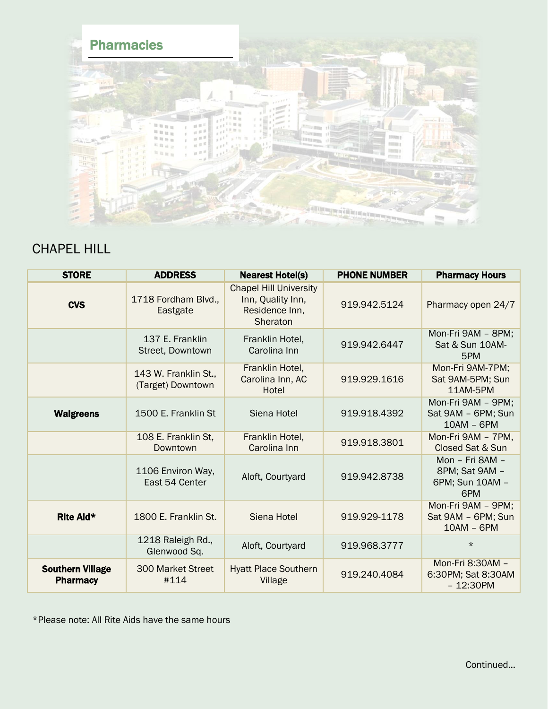

## CHAPEL HILL

| <b>STORE</b>                               | <b>ADDRESS</b>                            | <b>Nearest Hotel(s)</b>                                                          | <b>PHONE NUMBER</b> | <b>Pharmacy Hours</b>                                       |
|--------------------------------------------|-------------------------------------------|----------------------------------------------------------------------------------|---------------------|-------------------------------------------------------------|
| <b>CVS</b>                                 | 1718 Fordham Blvd.,<br>Eastgate           | <b>Chapel Hill University</b><br>Inn, Quality Inn,<br>Residence Inn,<br>Sheraton | 919.942.5124        | Pharmacy open 24/7                                          |
|                                            | 137 E. Franklin<br>Street, Downtown       | Franklin Hotel,<br>Carolina Inn                                                  | 919.942.6447        | Mon-Fri 9AM - 8PM;<br>Sat & Sun 10AM-<br>5PM                |
|                                            | 143 W. Franklin St.,<br>(Target) Downtown | Franklin Hotel,<br>Carolina Inn, AC<br>Hotel                                     | 919.929.1616        | Mon-Fri 9AM-7PM;<br>Sat 9AM-5PM; Sun<br>11AM-5PM            |
| <b>Walgreens</b>                           | 1500 E. Franklin St                       | Siena Hotel                                                                      | 919.918.4392        | Mon-Fri 9AM - 9PM;<br>Sat 9AM - 6PM; Sun<br>$10AM - 6PM$    |
|                                            | 108 E. Franklin St,<br>Downtown           | Franklin Hotel,<br>Carolina Inn                                                  | 919.918.3801        | Mon-Fri 9AM - 7PM,<br>Closed Sat & Sun                      |
|                                            | 1106 Environ Way,<br>East 54 Center       | Aloft, Courtyard                                                                 | 919.942.8738        | Mon - Fri 8AM -<br>8PM; Sat 9AM -<br>6PM; Sun 10AM -<br>6PM |
| Rite Aid*                                  | 1800 E. Franklin St.                      | Siena Hotel                                                                      | 919.929-1178        | Mon-Fri 9AM - 9PM;<br>Sat 9AM - 6PM; Sun<br>$10AM - 6PM$    |
|                                            | 1218 Raleigh Rd.,<br>Glenwood Sq.         | Aloft, Courtyard                                                                 | 919.968.3777        | $\star$                                                     |
| <b>Southern Village</b><br><b>Pharmacy</b> | <b>300 Market Street</b><br>#114          | <b>Hyatt Place Southern</b><br>Village                                           | 919.240.4084        | Mon-Fri 8:30AM -<br>6:30PM; Sat 8:30AM<br>$-12:30PM$        |

\*Please note: All Rite Aids have the same hours